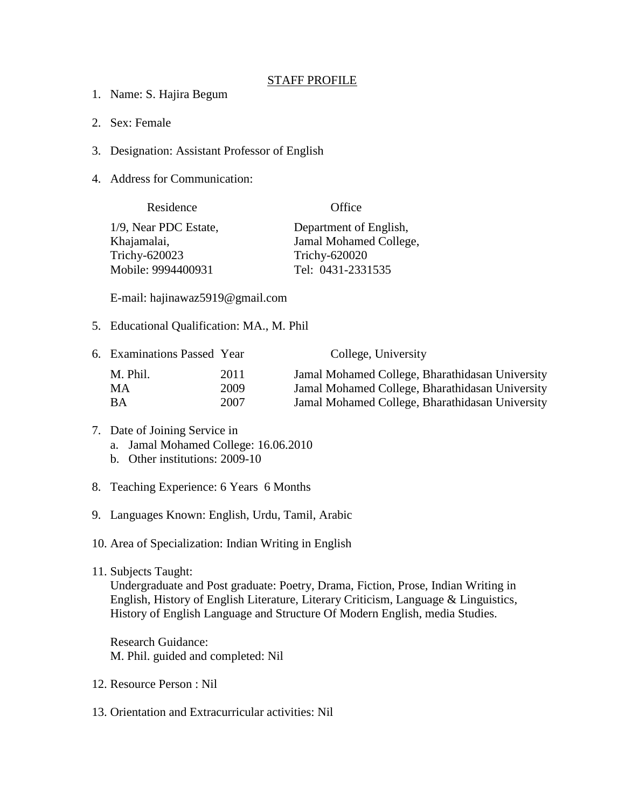## STAFF PROFILE

- 1. Name: S. Hajira Begum
- 2. Sex: Female
- 3. Designation: Assistant Professor of English
- 4. Address for Communication:

| Residence             | Office                 |
|-----------------------|------------------------|
| 1/9, Near PDC Estate, | Department of English, |
| Khajamalai,           | Jamal Mohamed College, |
| Trichy-620023         | Trichy-620020          |
| Mobile: 9994400931    | Tel: 0431-2331535      |

E-mail: hajinawaz5919@gmail.com

5. Educational Qualification: MA., M. Phil

| 6. Examinations Passed Year |      | College, University                             |
|-----------------------------|------|-------------------------------------------------|
| M. Phil.                    | 2011 | Jamal Mohamed College, Bharathidasan University |
| MA.                         | 2009 | Jamal Mohamed College, Bharathidasan University |
| ВA                          | 2007 | Jamal Mohamed College, Bharathidasan University |

## 7. Date of Joining Service in a. Jamal Mohamed College: 16.06.2010

- b. Other institutions: 2009-10
- 8. Teaching Experience: 6 Years 6 Months
- 9. Languages Known: English, Urdu, Tamil, Arabic

10. Area of Specialization: Indian Writing in English

11. Subjects Taught:

Undergraduate and Post graduate: Poetry, Drama, Fiction, Prose, Indian Writing in English, History of English Literature, Literary Criticism, Language & Linguistics, History of English Language and Structure Of Modern English, media Studies.

Research Guidance: M. Phil. guided and completed: Nil

- 12. Resource Person : Nil
- 13. Orientation and Extracurricular activities: Nil